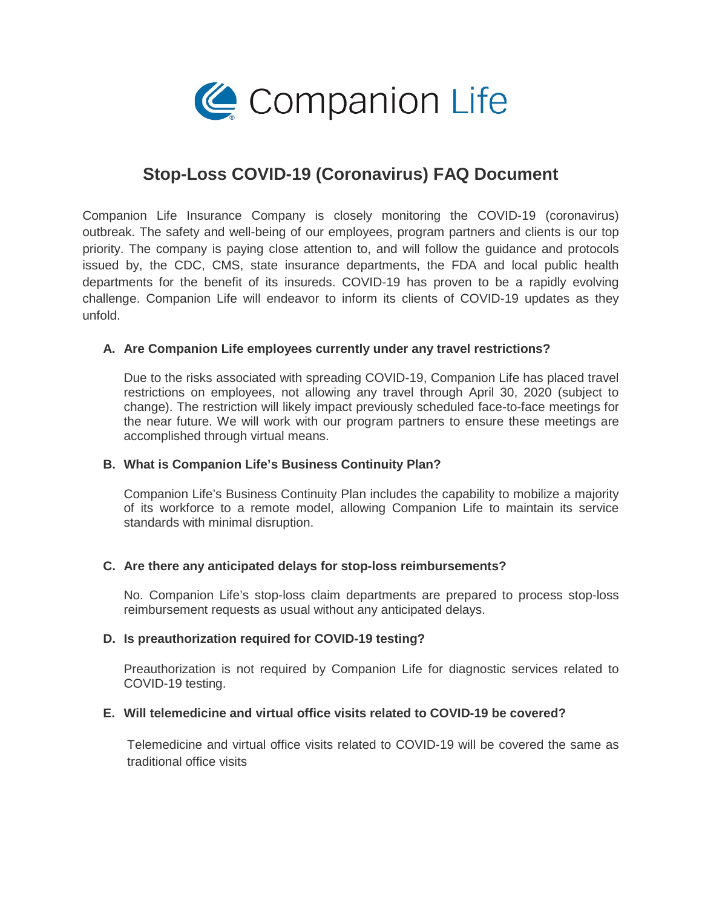

# **Stop-Loss COVID-19 (Coronavirus) FAQ Document**

Companion Life Insurance Company is closely monitoring the COVID-19 (coronavirus) outbreak. The safety and well-being of our employees, program partners and clients is our top priority. The company is paying close attention to, and will follow the guidance and protocols issued by, the CDC, CMS, state insurance departments, the FDA and local public health departments for the benefit of its insureds. COVID-19 has proven to be a rapidly evolving challenge. Companion Life will endeavor to inform its clients of COVID-19 updates as they unfold.

# **A. Are Companion Life employees currently under any travel restrictions?**

Due to the risks associated with spreading COVID-19, Companion Life has placed travel restrictions on employees, not allowing any travel through April 30, 2020 (subject to change). The restriction will likely impact previously scheduled face-to-face meetings for the near future. We will work with our program partners to ensure these meetings are accomplished through virtual means.

# **B. What is Companion Life's Business Continuity Plan?**

Companion Life's Business Continuity Plan includes the capability to mobilize a majority of its workforce to a remote model, allowing Companion Life to maintain its service standards with minimal disruption.

# **C. Are there any anticipated delays for stop-loss reimbursements?**

No. Companion Life's stop-loss claim departments are prepared to process stop-loss reimbursement requests as usual without any anticipated delays.

#### **D. Is preauthorization required for COVID-19 testing?**

Preauthorization is not required by Companion Life for diagnostic services related to COVID-19 testing.

#### **E. Will telemedicine and virtual office visits related to COVID-19 be covered?**

Telemedicine and virtual office visits related to COVID-19 will be covered the same as traditional office visits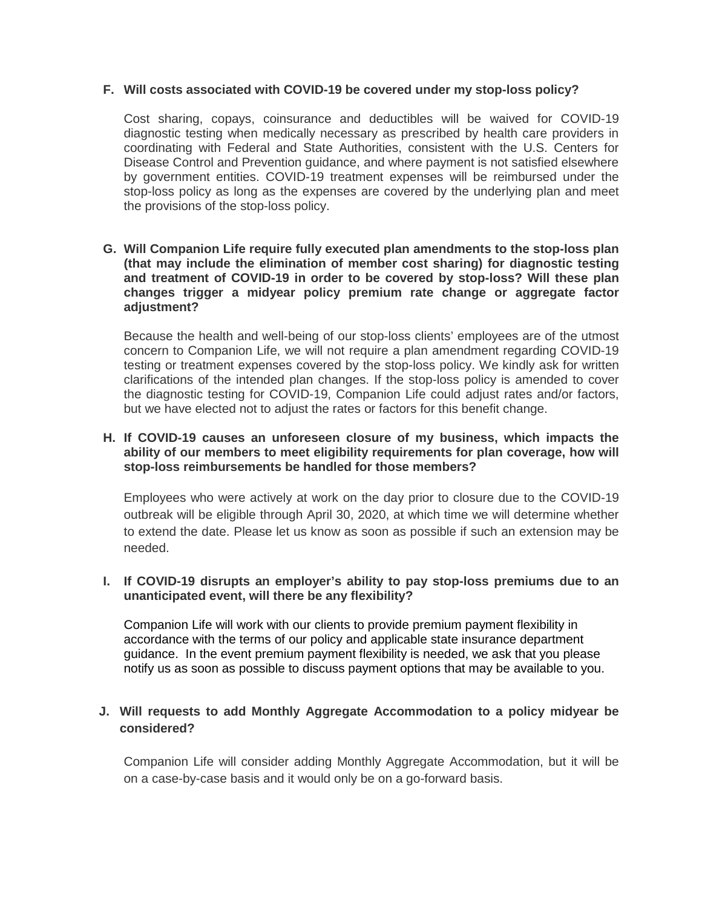#### **F. Will costs associated with COVID-19 be covered under my stop-loss policy?**

Cost sharing, copays, coinsurance and deductibles will be waived for COVID-19 diagnostic testing when medically necessary as prescribed by health care providers in coordinating with Federal and State Authorities, consistent with the U.S. Centers for Disease Control and Prevention guidance, and where payment is not satisfied elsewhere by government entities. COVID-19 treatment expenses will be reimbursed under the stop-loss policy as long as the expenses are covered by the underlying plan and meet the provisions of the stop-loss policy.

#### **G. Will Companion Life require fully executed plan amendments to the stop-loss plan (that may include the elimination of member cost sharing) for diagnostic testing and treatment of COVID-19 in order to be covered by stop-loss? Will these plan changes trigger a midyear policy premium rate change or aggregate factor adjustment?**

Because the health and well-being of our stop-loss clients' employees are of the utmost concern to Companion Life, we will not require a plan amendment regarding COVID-19 testing or treatment expenses covered by the stop-loss policy. We kindly ask for written clarifications of the intended plan changes. If the stop-loss policy is amended to cover the diagnostic testing for COVID-19, Companion Life could adjust rates and/or factors, but we have elected not to adjust the rates or factors for this benefit change.

#### **H. If COVID-19 causes an unforeseen closure of my business, which impacts the ability of our members to meet eligibility requirements for plan coverage, how will stop-loss reimbursements be handled for those members?**

Employees who were actively at work on the day prior to closure due to the COVID-19 outbreak will be eligible through April 30, 2020, at which time we will determine whether to extend the date. Please let us know as soon as possible if such an extension may be needed.

#### **I. If COVID-19 disrupts an employer's ability to pay stop-loss premiums due to an unanticipated event, will there be any flexibility?**

Companion Life will work with our clients to provide premium payment flexibility in accordance with the terms of our policy and applicable state insurance department guidance. In the event premium payment flexibility is needed, we ask that you please notify us as soon as possible to discuss payment options that may be available to you.

# **J. Will requests to add Monthly Aggregate Accommodation to a policy midyear be considered?**

Companion Life will consider adding Monthly Aggregate Accommodation, but it will be on a case-by-case basis and it would only be on a go-forward basis.